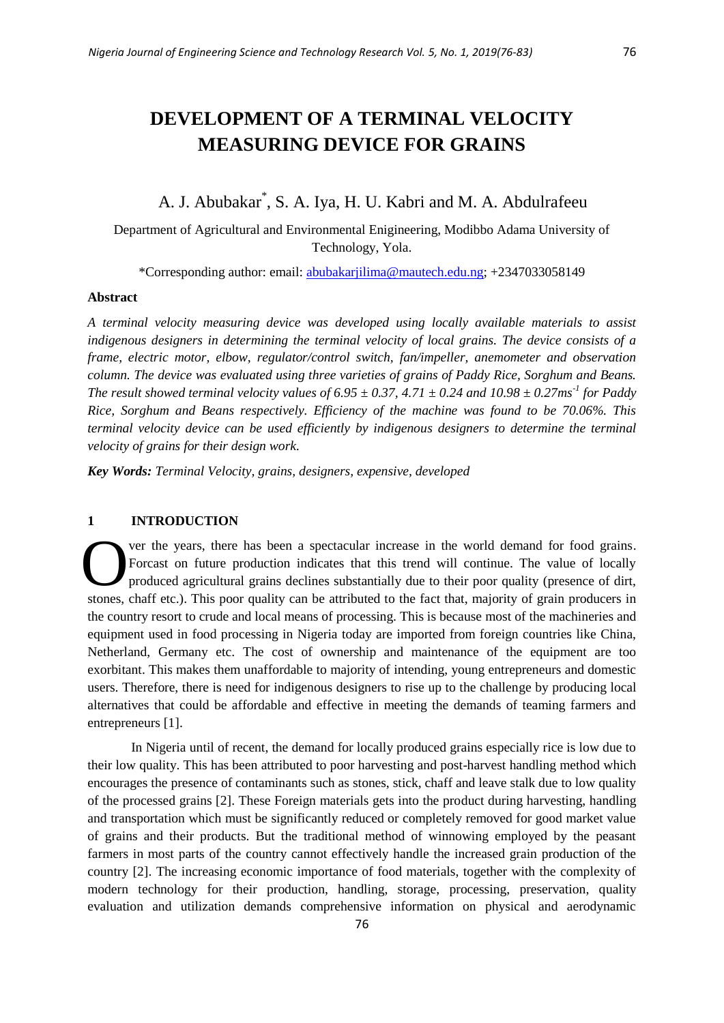# A. J. Abubakar\* , S. A. Iya, H. U. Kabri and M. A. Abdulrafeeu

Department of Agricultural and Environmental Enigineering, Modibbo Adama University of Technology, Yola.

\*Corresponding author: email: [abubakarjilima@mautech.edu.ng;](mailto:abubakarjilima@mautech.edu.ng) +2347033058149

# **Abstract**

*A terminal velocity measuring device was developed using locally available materials to assist indigenous designers in determining the terminal velocity of local grains. The device consists of a frame, electric motor, elbow, regulator/control switch, fan/impeller, anemometer and observation column. The device was evaluated using three varieties of grains of Paddy Rice, Sorghum and Beans. The result showed terminal velocity values of 6.95*  $\pm$  0.37, 4.71  $\pm$  0.24 and 10.98  $\pm$  0.27ms<sup>-1</sup> for Paddy *Rice, Sorghum and Beans respectively. Efficiency of the machine was found to be 70.06%. This terminal velocity device can be used efficiently by indigenous designers to determine the terminal velocity of grains for their design work.*

*Key Words: Terminal Velocity, grains, designers, expensive, developed*

## **1 INTRODUCTION**

ver the years, there has been a spectacular increase in the world demand for food grains. Forcast on future production indicates that this trend will continue. The value of locally produced agricultural grains declines substantially due to their poor quality (presence of dirt, stones, chaff etc.). This poor quality can be attributed to the fact that, majority of grain producers in the country resort to crude and local means of processing. This is because most of the machineries and equipment used in food processing in Nigeria today are imported from foreign countries like China, Netherland, Germany etc. The cost of ownership and maintenance of the equipment are too exorbitant. This makes them unaffordable to majority of intending, young entrepreneurs and domestic users. Therefore, there is need for indigenous designers to rise up to the challenge by producing local alternatives that could be affordable and effective in meeting the demands of teaming farmers and entrepreneurs [1]. O

In Nigeria until of recent, the demand for locally produced grains especially rice is low due to their low quality. This has been attributed to poor harvesting and post-harvest handling method which encourages the presence of contaminants such as stones, stick, chaff and leave stalk due to low quality of the processed grains [2]. These Foreign materials gets into the product during harvesting, handling and transportation which must be significantly reduced or completely removed for good market value of grains and their products. But the traditional method of winnowing employed by the peasant farmers in most parts of the country cannot effectively handle the increased grain production of the country [2]. The increasing economic importance of food materials, together with the complexity of modern technology for their production, handling, storage, processing, preservation, quality evaluation and utilization demands comprehensive information on physical and aerodynamic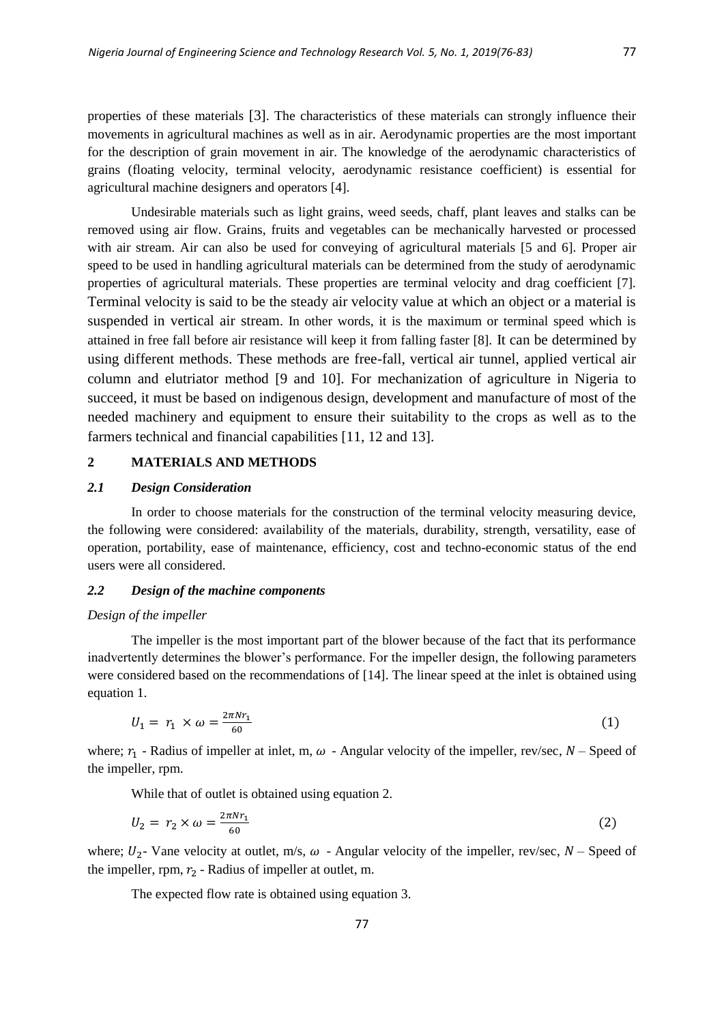properties of these materials [3]. The characteristics of these materials can strongly influence their movements in agricultural machines as well as in air. Aerodynamic properties are the most important for the description of grain movement in air. The knowledge of the aerodynamic characteristics of grains (floating velocity, terminal velocity, aerodynamic resistance coefficient) is essential for agricultural machine designers and operators [4].

Undesirable materials such as light grains, weed seeds, chaff, plant leaves and stalks can be removed using air flow. Grains, fruits and vegetables can be mechanically harvested or processed with air stream. Air can also be used for conveying of agricultural materials [5 and 6]. Proper air speed to be used in handling agricultural materials can be determined from the study of aerodynamic properties of agricultural materials. These properties are terminal velocity and drag coefficient [7]. Terminal velocity is said to be the steady air velocity value at which an object or a material is suspended in vertical air stream. In other words, it is the maximum or terminal speed which is attained in free fall before air resistance will keep it from falling faster [8]. It can be determined by using different methods. These methods are free-fall, vertical air tunnel, applied vertical air column and elutriator method [9 and 10]. For mechanization of agriculture in Nigeria to succeed, it must be based on indigenous design, development and manufacture of most of the needed machinery and equipment to ensure their suitability to the crops as well as to the farmers technical and financial capabilities [11, 12 and 13].

#### **2 MATERIALS AND METHODS**

## *2.1 Design Consideration*

In order to choose materials for the construction of the terminal velocity measuring device, the following were considered: availability of the materials, durability, strength, versatility, ease of operation, portability, ease of maintenance, efficiency, cost and techno-economic status of the end users were all considered.

# *2.2 Design of the machine components*

#### *Design of the impeller*

The impeller is the most important part of the blower because of the fact that its performance inadvertently determines the blower's performance. For the impeller design, the following parameters were considered based on the recommendations of [14]. The linear speed at the inlet is obtained using equation 1.

$$
U_1 = r_1 \times \omega = \frac{2\pi N r_1}{60} \tag{1}
$$

where;  $r_1$  - Radius of impeller at inlet, m,  $\omega$  - Angular velocity of the impeller, rev/sec, N – Speed of the impeller, rpm.

While that of outlet is obtained using equation 2.

$$
U_2 = r_2 \times \omega = \frac{2\pi N r_1}{60} \tag{2}
$$

where;  $U_2$ - Vane velocity at outlet, m/s,  $\omega$  - Angular velocity of the impeller, rev/sec,  $N$  – Speed of the impeller, rpm,  $r_2$  - Radius of impeller at outlet, m.

The expected flow rate is obtained using equation 3.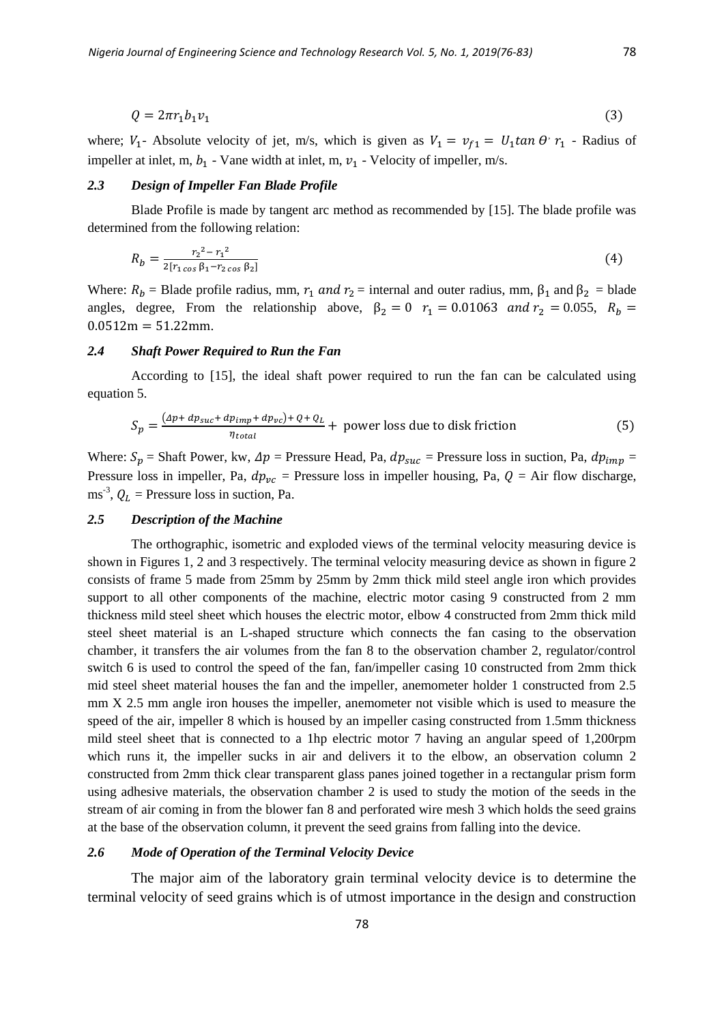$$
Q = 2\pi r_1 b_1 v_1 \tag{3}
$$

where;  $V_1$ - Absolute velocity of jet, m/s, which is given as  $V_1 = v_{f1} = U_1 \tan \theta$   $r_1$  - Radius of impeller at inlet, m,  $b_1$  - Vane width at inlet, m,  $v_1$  - Velocity of impeller, m/s.

## *2.3 Design of Impeller Fan Blade Profile*

Blade Profile is made by tangent arc method as recommended by [15]. The blade profile was determined from the following relation:

$$
R_b = \frac{r_2^2 - r_1^2}{2[r_1 \cos \beta_1 - r_2 \cos \beta_2]}
$$
 (4)

Where:  $R_b$  = Blade profile radius, mm,  $r_1$  and  $r_2$  = internal and outer radius, mm,  $\beta_1$  and  $\beta_2$  = blade angles, degree, From the relationship above,  $\beta_2 = 0$   $r_1 = 0.01063$  and  $r_2 = 0.055$ ,  $R_b =$  $0.0512m = 51.22mm$ .

#### *2.4 Shaft Power Required to Run the Fan*

According to [15], the ideal shaft power required to run the fan can be calculated using equation 5.

$$
S_p = \frac{(4p + dp_{suc} + dp_{imp} + dp_{vc}) + Q + Q_L}{\eta_{total}} + \text{ power loss due to disk friction}
$$
 (5)

Where:  $S_p$  = Shaft Power, kw,  $\Delta p$  = Pressure Head, Pa,  $dp_{succ}$  = Pressure loss in suction, Pa,  $dp_{imp}$  = Pressure loss in impeller, Pa,  $dp_{\nu c}$  = Pressure loss in impeller housing, Pa,  $Q = Air flow$  discharge, ms<sup>-3</sup>,  $Q_L$  = Pressure loss in suction, Pa.

#### *2.5 Description of the Machine*

The orthographic, isometric and exploded views of the terminal velocity measuring device is shown in Figures 1, 2 and 3 respectively. The terminal velocity measuring device as shown in figure 2 consists of frame 5 made from 25mm by 25mm by 2mm thick mild steel angle iron which provides support to all other components of the machine, electric motor casing 9 constructed from 2 mm thickness mild steel sheet which houses the electric motor, elbow 4 constructed from 2mm thick mild steel sheet material is an L-shaped structure which connects the fan casing to the observation chamber, it transfers the air volumes from the fan 8 to the observation chamber 2, regulator/control switch 6 is used to control the speed of the fan, fan/impeller casing 10 constructed from 2mm thick mid steel sheet material houses the fan and the impeller, anemometer holder 1 constructed from 2.5 mm X 2.5 mm angle iron houses the impeller, anemometer not visible which is used to measure the speed of the air, impeller 8 which is housed by an impeller casing constructed from 1.5mm thickness mild steel sheet that is connected to a 1hp electric motor 7 having an angular speed of 1,200rpm which runs it, the impeller sucks in air and delivers it to the elbow, an observation column 2 constructed from 2mm thick clear transparent glass panes joined together in a rectangular prism form using adhesive materials, the observation chamber 2 is used to study the motion of the seeds in the stream of air coming in from the blower fan 8 and perforated wire mesh 3 which holds the seed grains at the base of the observation column, it prevent the seed grains from falling into the device.

#### *2.6 Mode of Operation of the Terminal Velocity Device*

The major aim of the laboratory grain terminal velocity device is to determine the terminal velocity of seed grains which is of utmost importance in the design and construction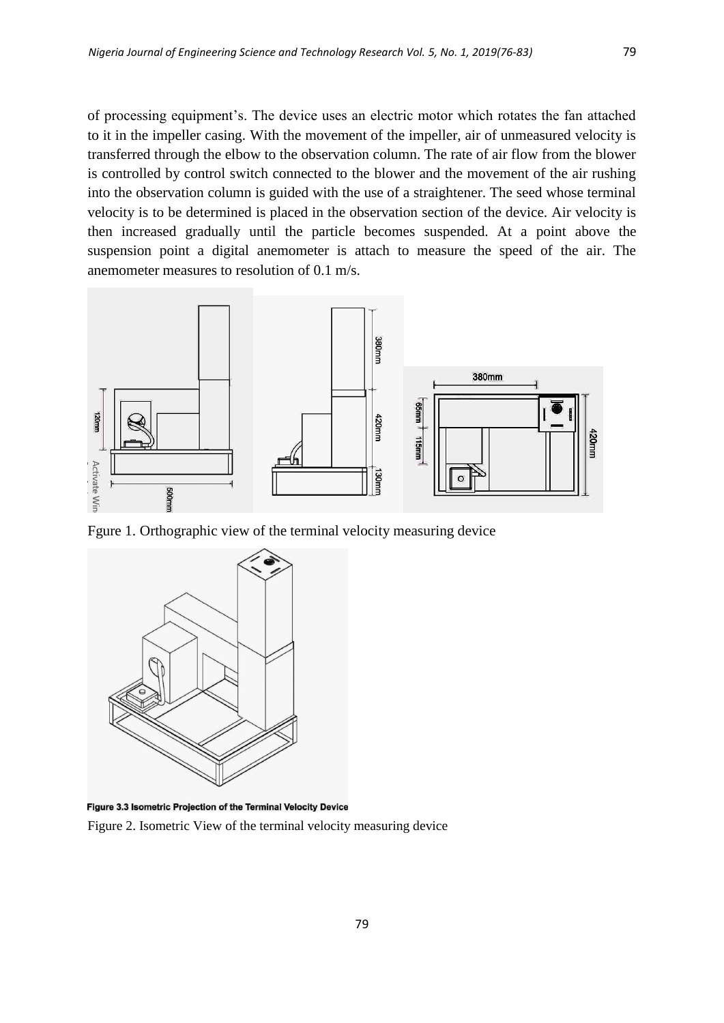of processing equipment's. The device uses an electric motor which rotates the fan attached to it in the impeller casing. With the movement of the impeller, air of unmeasured velocity is transferred through the elbow to the observation column. The rate of air flow from the blower is controlled by control switch connected to the blower and the movement of the air rushing into the observation column is guided with the use of a straightener. The seed whose terminal velocity is to be determined is placed in the observation section of the device. Air velocity is then increased gradually until the particle becomes suspended. At a point above the suspension point a digital anemometer is attach to measure the speed of the air. The anemometer measures to resolution of 0.1 m/s.



Fgure 1. Orthographic view of the terminal velocity measuring device



Figure 3.3 Isometric Projection of the Terminal Velocity Device

Figure 2. Isometric View of the terminal velocity measuring device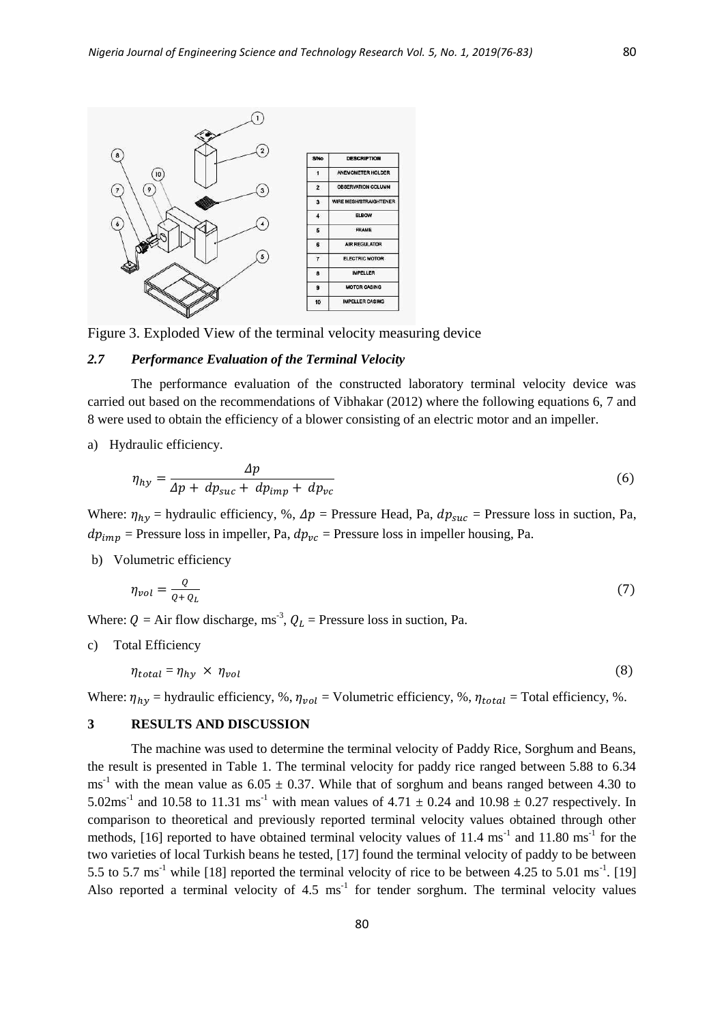

Figure 3. Exploded View of the terminal velocity measuring device

#### *2.7 Performance Evaluation of the Terminal Velocity*

The performance evaluation of the constructed laboratory terminal velocity device was carried out based on the recommendations of Vibhakar (2012) where the following equations 6, 7 and 8 were used to obtain the efficiency of a blower consisting of an electric motor and an impeller.

a) Hydraulic efficiency.

$$
\eta_{hy} = \frac{\Delta p}{\Delta p + dp_{suc} + dp_{imp} + dp_{vc}}\tag{6}
$$

Where:  $\eta_{hv}$  = hydraulic efficiency, %,  $\Delta p$  = Pressure Head, Pa,  $dp_{suc}$  = Pressure loss in suction, Pa,  $dp_{imp}$  = Pressure loss in impeller, Pa,  $dp_{vc}$  = Pressure loss in impeller housing, Pa.

b) Volumetric efficiency

$$
\eta_{vol} = \frac{Q}{Q + Q_L} \tag{7}
$$

Where:  $Q = Air flow discharge, ms^{-3}$ ,  $Q_L = Pressure loss in such a.$  Pressure loss in suction, Pa.

c) Total Efficiency

$$
\eta_{total} = \eta_{hy} \times \eta_{vol} \tag{8}
$$

Where:  $\eta_{hv}$  = hydraulic efficiency, %,  $\eta_{vol}$  = Volumetric efficiency, %,  $\eta_{total}$  = Total efficiency, %.

## **3 RESULTS AND DISCUSSION**

The machine was used to determine the terminal velocity of Paddy Rice, Sorghum and Beans, the result is presented in Table 1. The terminal velocity for paddy rice ranged between 5.88 to 6.34  $\text{ms}^{-1}$  with the mean value as 6.05  $\pm$  0.37. While that of sorghum and beans ranged between 4.30 to 5.02ms<sup>-1</sup> and 10.58 to 11.31 ms<sup>-1</sup> with mean values of 4.71  $\pm$  0.24 and 10.98  $\pm$  0.27 respectively. In comparison to theoretical and previously reported terminal velocity values obtained through other methods, [16] reported to have obtained terminal velocity values of 11.4 ms<sup>-1</sup> and 11.80 ms<sup>-1</sup> for the two varieties of local Turkish beans he tested, [17] found the terminal velocity of paddy to be between 5.5 to 5.7 ms<sup>-1</sup> while [18] reported the terminal velocity of rice to be between 4.25 to 5.01 ms<sup>-1</sup>. [19] Also reported a terminal velocity of  $4.5 \text{ ms}^{-1}$  for tender sorghum. The terminal velocity values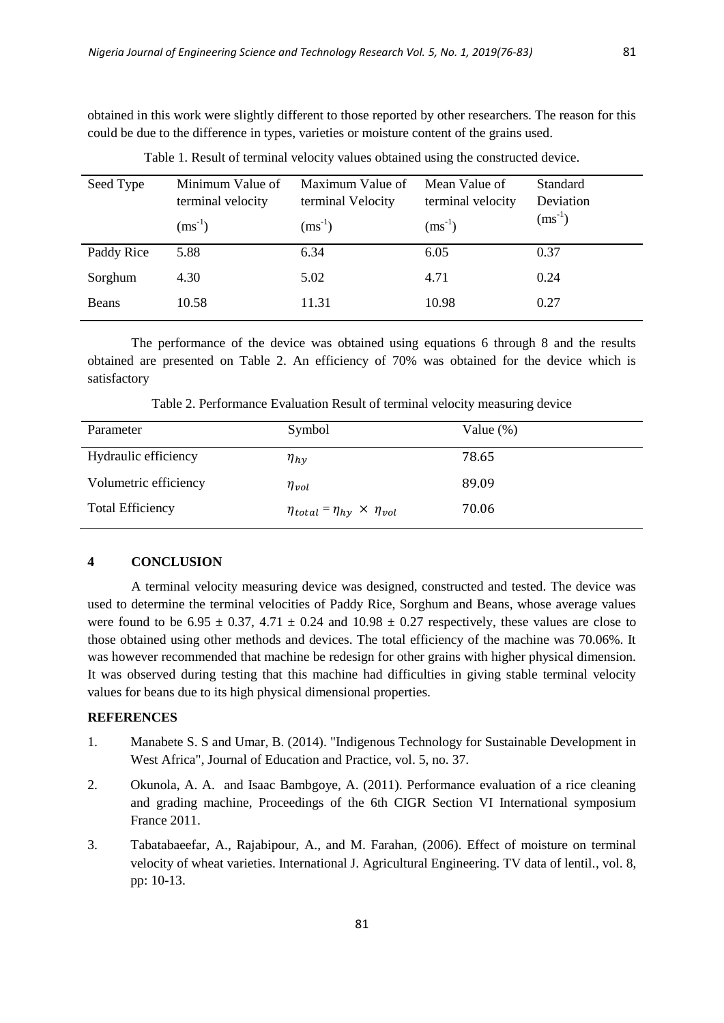obtained in this work were slightly different to those reported by other researchers. The reason for this could be due to the difference in types, varieties or moisture content of the grains used.

| Seed Type  | Minimum Value of<br>terminal velocity<br>$(ms^{-1})$ | Maximum Value of<br>terminal Velocity<br>$(ms^{-1})$ | Mean Value of<br>terminal velocity<br>$(ms^{-1})$ | Standard<br>Deviation<br>$(ms^{-1})$ |
|------------|------------------------------------------------------|------------------------------------------------------|---------------------------------------------------|--------------------------------------|
| Paddy Rice | 5.88                                                 | 6.34                                                 | 6.05                                              | 0.37                                 |
| Sorghum    | 4.30                                                 | 5.02                                                 | 4.71                                              | 0.24                                 |
| Beans      | 10.58                                                | 11.31                                                | 10.98                                             | 0.27                                 |

Table 1. Result of terminal velocity values obtained using the constructed device.

The performance of the device was obtained using equations 6 through 8 and the results obtained are presented on Table 2. An efficiency of 70% was obtained for the device which is satisfactory

Table 2. Performance Evaluation Result of terminal velocity measuring device

| Parameter               | Symbol                                       | Value $(\%)$ |
|-------------------------|----------------------------------------------|--------------|
| Hydraulic efficiency    | $\eta_{hv}$                                  | 78.65        |
| Volumetric efficiency   | $\eta_{vol}$                                 | 89.09        |
| <b>Total Efficiency</b> | $\eta_{total} = \eta_{hy} \times \eta_{vol}$ | 70.06        |

## **4 CONCLUSION**

A terminal velocity measuring device was designed, constructed and tested. The device was used to determine the terminal velocities of Paddy Rice, Sorghum and Beans, whose average values were found to be 6.95  $\pm$  0.37, 4.71  $\pm$  0.24 and 10.98  $\pm$  0.27 respectively, these values are close to those obtained using other methods and devices. The total efficiency of the machine was 70.06%. It was however recommended that machine be redesign for other grains with higher physical dimension. It was observed during testing that this machine had difficulties in giving stable terminal velocity values for beans due to its high physical dimensional properties.

# **REFERENCES**

- 1. Manabete S. S and Umar, B. (2014). "Indigenous Technology for Sustainable Development in West Africa", Journal of Education and Practice, vol. 5, no. 37.
- 2. Okunola, A. A. and Isaac Bambgoye, A. (2011). Performance evaluation of a rice cleaning and grading machine, Proceedings of the 6th CIGR Section VI International symposium France 2011.
- 3. Tabatabaeefar, A., Rajabipour, A., and M. Farahan, (2006). Effect of moisture on terminal velocity of wheat varieties. International J. Agricultural Engineering. TV data of lentil., vol. 8, pp: 10-13.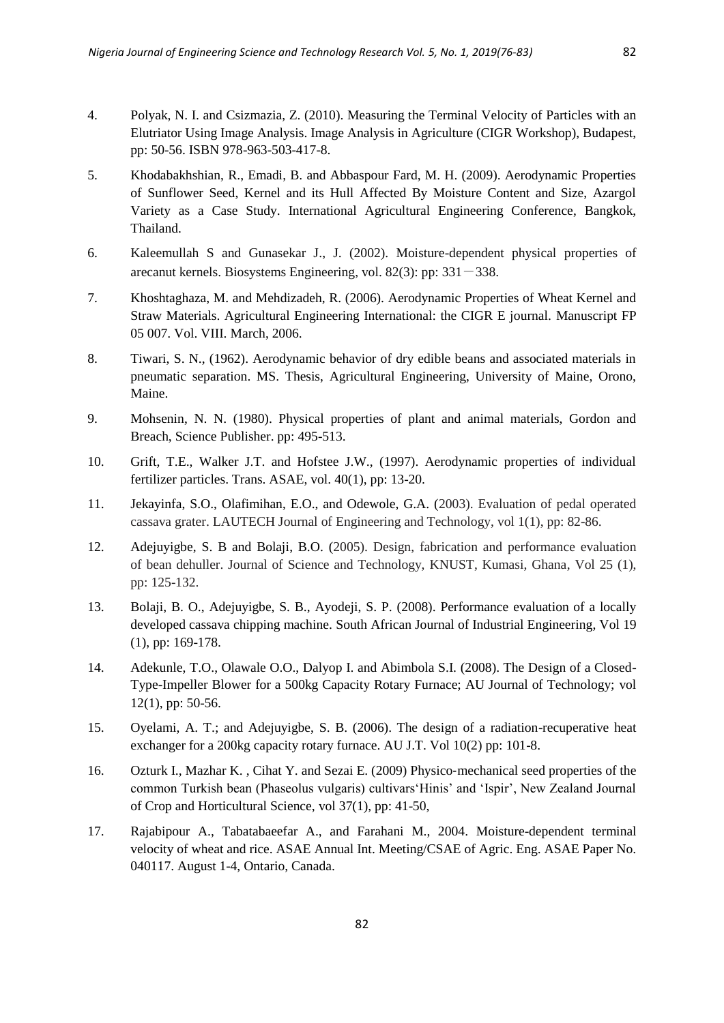- 4. Polyak, N. I. and Csizmazia, Z. (2010). Measuring the Terminal Velocity of Particles with an Elutriator Using Image Analysis. Image Analysis in Agriculture (CIGR Workshop), Budapest, pp: 50-56. ISBN 978-963-503-417-8.
- 5. Khodabakhshian, R., Emadi, B. and Abbaspour Fard, M. H. (2009). Aerodynamic Properties of Sunflower Seed, Kernel and its Hull Affected By Moisture Content and Size, Azargol Variety as a Case Study. International Agricultural Engineering Conference, Bangkok, Thailand.
- 6. Kaleemullah S and Gunasekar J., J. (2002). Moisture-dependent physical properties of arecanut kernels. Biosystems Engineering, vol.  $82(3)$ : pp:  $331-338$ .
- 7. Khoshtaghaza, M. and Mehdizadeh, R. (2006). Aerodynamic Properties of Wheat Kernel and Straw Materials. Agricultural Engineering International: the CIGR E journal. Manuscript FP 05 007. Vol. VIII. March, 2006.
- 8. Tiwari, S. N., (1962). Aerodynamic behavior of dry edible beans and associated materials in pneumatic separation. MS. Thesis, Agricultural Engineering, University of Maine, Orono, Maine.
- 9. Mohsenin, N. N. (1980). Physical properties of plant and animal materials, Gordon and Breach, Science Publisher. pp: 495-513.
- 10. Grift, T.E., Walker J.T. and Hofstee J.W., (1997). Aerodynamic properties of individual fertilizer particles. Trans. ASAE, vol. 40(1), pp: 13-20.
- 11. Jekayinfa, S.O., Olafimihan, E.O., and Odewole, G.A. (2003). Evaluation of pedal operated cassava grater. LAUTECH Journal of Engineering and Technology, vol 1(1), pp: 82-86.
- 12. Adejuyigbe, S. B and Bolaji, B.O. (2005). Design, fabrication and performance evaluation of bean dehuller. Journal of Science and Technology, KNUST, Kumasi, Ghana, Vol 25 (1), pp: 125-132.
- 13. Bolaji, B. O., Adejuyigbe, S. B., Ayodeji, S. P. (2008). Performance evaluation of a locally developed cassava chipping machine. South African Journal of Industrial Engineering, Vol 19 (1), pp: 169-178.
- 14. Adekunle, T.O., Olawale O.O., Dalyop I. and Abimbola S.I. (2008). The Design of a Closed-Type-Impeller Blower for a 500kg Capacity Rotary Furnace; AU Journal of Technology; vol 12(1), pp: 50-56.
- 15. Oyelami, A. T.; and Adejuyigbe, S. B. (2006). The design of a radiation-recuperative heat exchanger for a 200kg capacity rotary furnace. AU J.T. Vol 10(2) pp: 101-8.
- 16. Ozturk I., Mazhar K. , Cihat Y. and Sezai E. (2009) Physico‐mechanical seed properties of the common Turkish bean (Phaseolus vulgaris) cultivars'Hinis' and 'Ispir', New Zealand Journal of Crop and Horticultural Science, vol 37(1), pp: 41-50,
- 17. Rajabipour A., Tabatabaeefar A., and Farahani M., 2004. Moisture-dependent terminal velocity of wheat and rice. ASAE Annual Int. Meeting/CSAE of Agric. Eng. ASAE Paper No. 040117. August 1-4, Ontario, Canada.